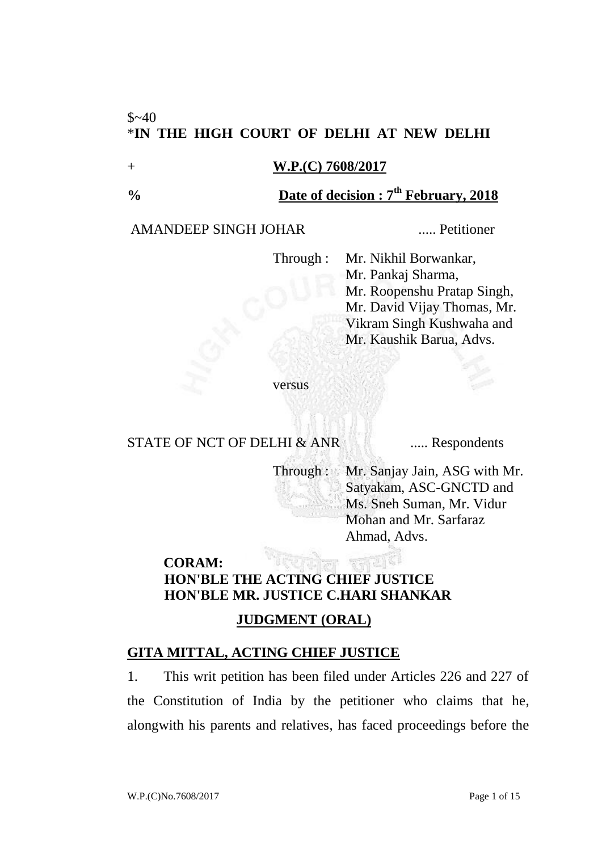## $$~-40$ \***IN THE HIGH COURT OF DELHI AT NEW DELHI**

#### + **W.P.(C) 7608/2017**

## **% Date of decision : 7 th February, 2018**

#### AMANDEEP SINGH JOHAR ..... Petitioner

Through : Mr. Nikhil Borwankar, Mr. Pankaj Sharma, Mr. Roopenshu Pratap Singh, Mr. David Vijay Thomas, Mr. Vikram Singh Kushwaha and Mr. Kaushik Barua, Advs.

versus

## STATE OF NCT OF DELHI & ANR ...... Respondents

Through : Mr. Sanjay Jain, ASG with Mr. Satyakam, ASC-GNCTD and Ms. Sneh Suman, Mr. Vidur Mohan and Mr. Sarfaraz Ahmad, Advs.

## **CORAM: HON'BLE THE ACTING CHIEF JUSTICE HON'BLE MR. JUSTICE C.HARI SHANKAR**

## **JUDGMENT (ORAL)**

### **GITA MITTAL, ACTING CHIEF JUSTICE**

1. This writ petition has been filed under Articles 226 and 227 of the Constitution of India by the petitioner who claims that he, alongwith his parents and relatives, has faced proceedings before the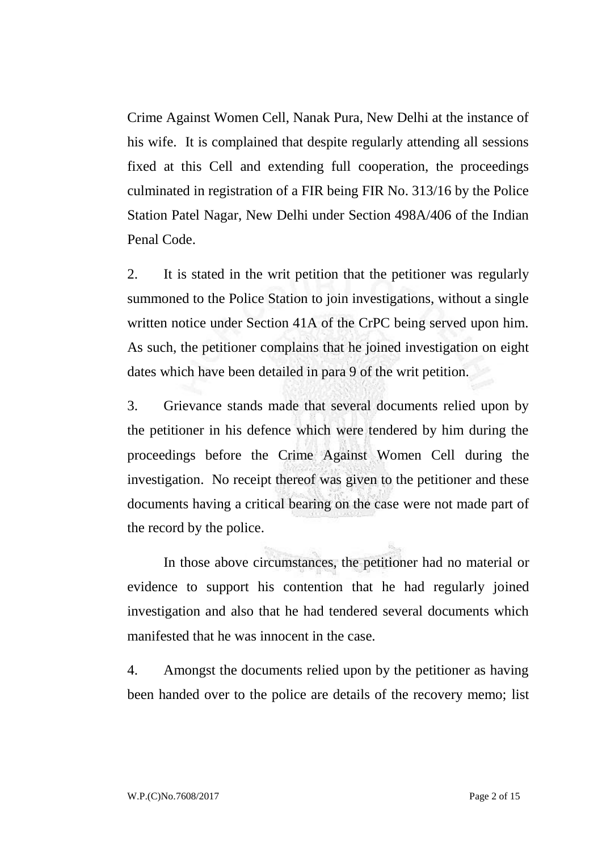Crime Against Women Cell, Nanak Pura, New Delhi at the instance of his wife. It is complained that despite regularly attending all sessions fixed at this Cell and extending full cooperation, the proceedings culminated in registration of a FIR being FIR No. 313/16 by the Police Station Patel Nagar, New Delhi under Section 498A/406 of the Indian Penal Code.

2. It is stated in the writ petition that the petitioner was regularly summoned to the Police Station to join investigations, without a single written notice under Section 41A of the CrPC being served upon him. As such, the petitioner complains that he joined investigation on eight dates which have been detailed in para 9 of the writ petition.

3. Grievance stands made that several documents relied upon by the petitioner in his defence which were tendered by him during the proceedings before the Crime Against Women Cell during the investigation. No receipt thereof was given to the petitioner and these documents having a critical bearing on the case were not made part of the record by the police.

In those above circumstances, the petitioner had no material or evidence to support his contention that he had regularly joined investigation and also that he had tendered several documents which manifested that he was innocent in the case.

4. Amongst the documents relied upon by the petitioner as having been handed over to the police are details of the recovery memo; list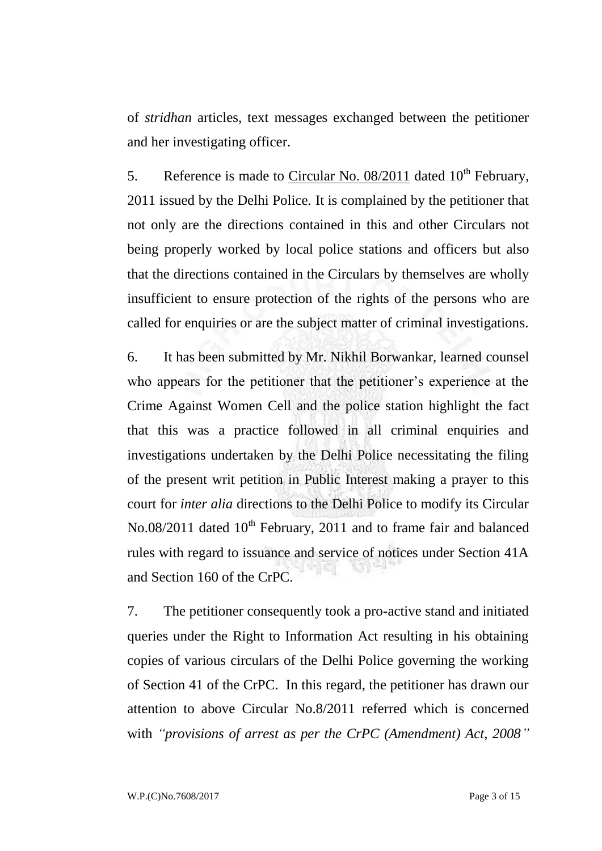of *stridhan* articles, text messages exchanged between the petitioner and her investigating officer.

5. Reference is made to Circular No.  $08/2011$  dated  $10<sup>th</sup>$  February, 2011 issued by the Delhi Police. It is complained by the petitioner that not only are the directions contained in this and other Circulars not being properly worked by local police stations and officers but also that the directions contained in the Circulars by themselves are wholly insufficient to ensure protection of the rights of the persons who are called for enquiries or are the subject matter of criminal investigations.

6. It has been submitted by Mr. Nikhil Borwankar, learned counsel who appears for the petitioner that the petitioner's experience at the Crime Against Women Cell and the police station highlight the fact that this was a practice followed in all criminal enquiries and investigations undertaken by the Delhi Police necessitating the filing of the present writ petition in Public Interest making a prayer to this court for *inter alia* directions to the Delhi Police to modify its Circular No.08/2011 dated 10<sup>th</sup> February, 2011 and to frame fair and balanced rules with regard to issuance and service of notices under Section 41A and Section 160 of the CrPC.

7. The petitioner consequently took a pro-active stand and initiated queries under the Right to Information Act resulting in his obtaining copies of various circulars of the Delhi Police governing the working of Section 41 of the CrPC. In this regard, the petitioner has drawn our attention to above Circular No.8/2011 referred which is concerned with *"provisions of arrest as per the CrPC (Amendment) Act, 2008"*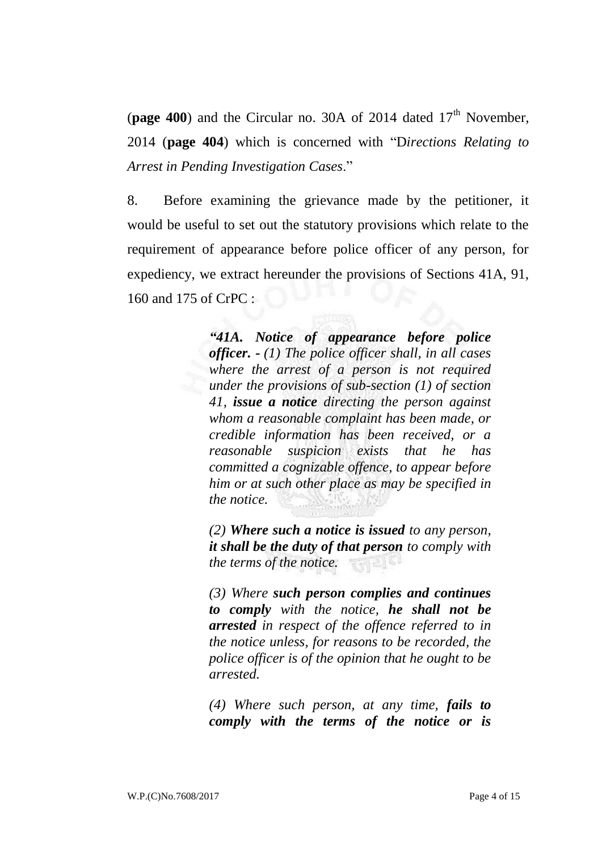(**page 400**) and the Circular no. 30A of 2014 dated  $17<sup>th</sup>$  November, 2014 (**page 404**) which is concerned with "D*irections Relating to Arrest in Pending Investigation Cases*."

8. Before examining the grievance made by the petitioner, it would be useful to set out the statutory provisions which relate to the requirement of appearance before police officer of any person, for expediency, we extract hereunder the provisions of Sections 41A, 91, 160 and 175 of CrPC :

> *"41A. Notice of appearance before police officer. - (1) The police officer shall, in all cases where the arrest of a person is not required under the provisions of sub-section (1) of section 41, issue a notice directing the person against whom a reasonable complaint has been made, or credible information has been received, or a reasonable suspicion exists that he has committed a cognizable offence, to appear before him or at such other place as may be specified in the notice.*

> *(2) Where such a notice is issued to any person, it shall be the duty of that person to comply with the terms of the notice.* 零零 经准备

> *(3) Where such person complies and continues to comply with the notice, he shall not be arrested in respect of the offence referred to in the notice unless, for reasons to be recorded, the police officer is of the opinion that he ought to be arrested.*

> *(4) Where such person, at any time, fails to comply with the terms of the notice or is*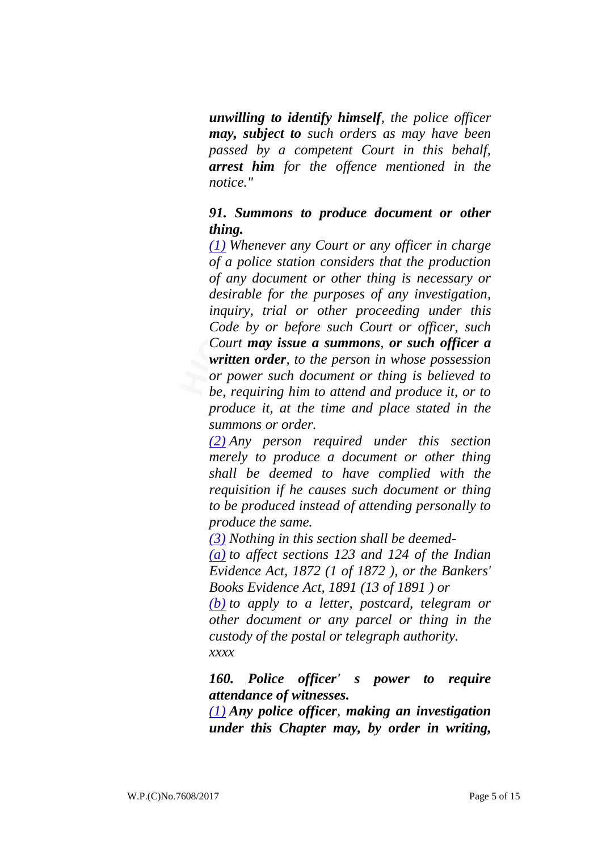*unwilling to identify himself, the police officer may, subject to such orders as may have been passed by a competent Court in this behalf, arrest him for the offence mentioned in the notice."*

## *91. Summons to produce document or other thing.*

*[\(1\)](https://indiankanoon.org/doc/911085/) Whenever any Court or any officer in charge of a police station considers that the production of any document or other thing is necessary or desirable for the purposes of any investigation, inquiry, trial or other proceeding under this Code by or before such Court or officer, such Court may issue a summons, or such officer a written order, to the person in whose possession or power such document or thing is believed to be, requiring him to attend and produce it, or to produce it, at the time and place stated in the summons or order.*

*[\(2\)](https://indiankanoon.org/doc/1046436/) Any person required under this section merely to produce a document or other thing shall be deemed to have complied with the requisition if he causes such document or thing to be produced instead of attending personally to produce the same.*

*[\(3\)](https://indiankanoon.org/doc/924299/) Nothing in this section shall be deemed-*

*[\(a\)](https://indiankanoon.org/doc/1876065/) to affect sections 123 and 124 of the Indian Evidence Act, 1872 (1 of 1872 ), or the Bankers' Books Evidence Act, 1891 (13 of 1891 ) or*

*[\(b\)](https://indiankanoon.org/doc/467790/) to apply to a letter, postcard, telegram or other document or any parcel or thing in the custody of the postal or telegraph authority. xxxx*

*160. Police officer' s power to require attendance of witnesses.*

*[\(1\)](https://indiankanoon.org/doc/210253/) Any police officer, making an investigation under this Chapter may, by order in writing,*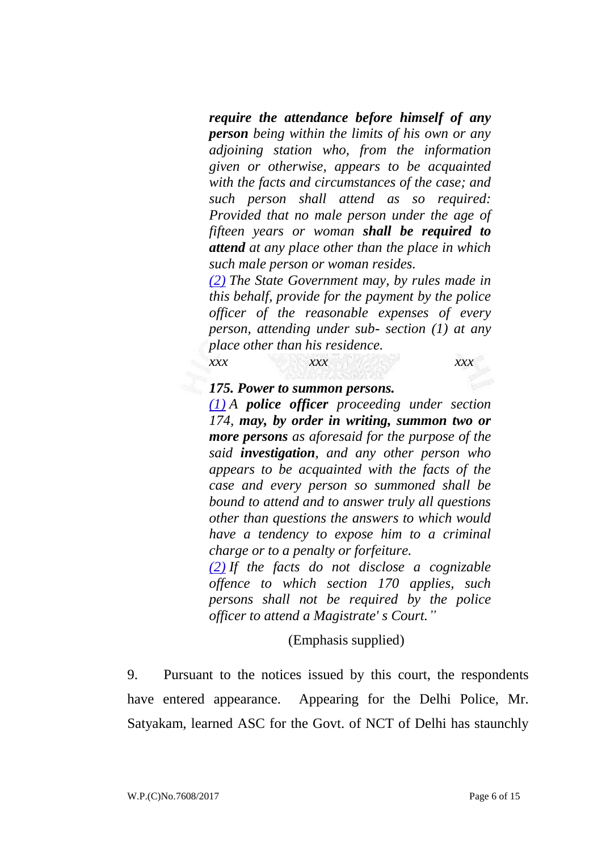*require the attendance before himself of any person being within the limits of his own or any adjoining station who, from the information given or otherwise, appears to be acquainted with the facts and circumstances of the case; and such person shall attend as so required: Provided that no male person under the age of fifteen years or woman shall be required to attend at any place other than the place in which such male person or woman resides.*

*[\(2\)](https://indiankanoon.org/doc/934158/) The State Government may, by rules made in this behalf, provide for the payment by the police officer of the reasonable expenses of every person, attending under sub- section (1) at any place other than his residence.*

*xxx xxx xxx*

#### *175. Power to summon persons.*

*[\(1\)](https://indiankanoon.org/doc/750876/) A police officer proceeding under section 174, may, by order in writing, summon two or more persons as aforesaid for the purpose of the said investigation, and any other person who appears to be acquainted with the facts of the case and every person so summoned shall be bound to attend and to answer truly all questions other than questions the answers to which would have a tendency to expose him to a criminal charge or to a penalty or forfeiture.*

*[\(2\)](https://indiankanoon.org/doc/1706157/) If the facts do not disclose a cognizable offence to which section 170 applies, such persons shall not be required by the police officer to attend a Magistrate' s Court."*

#### (Emphasis supplied)

9. Pursuant to the notices issued by this court, the respondents have entered appearance. Appearing for the Delhi Police, Mr. Satyakam, learned ASC for the Govt. of NCT of Delhi has staunchly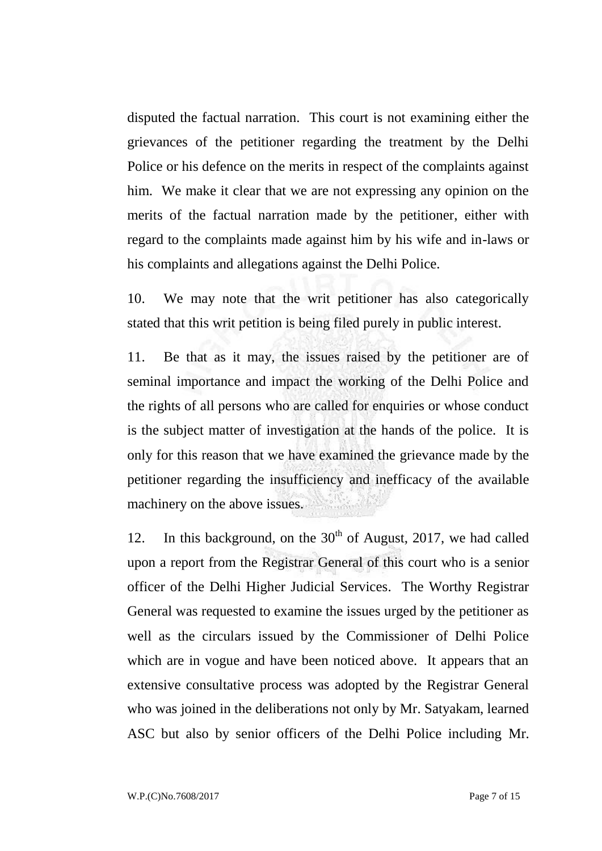disputed the factual narration. This court is not examining either the grievances of the petitioner regarding the treatment by the Delhi Police or his defence on the merits in respect of the complaints against him. We make it clear that we are not expressing any opinion on the merits of the factual narration made by the petitioner, either with regard to the complaints made against him by his wife and in-laws or his complaints and allegations against the Delhi Police.

10. We may note that the writ petitioner has also categorically stated that this writ petition is being filed purely in public interest.

11. Be that as it may, the issues raised by the petitioner are of seminal importance and impact the working of the Delhi Police and the rights of all persons who are called for enquiries or whose conduct is the subject matter of investigation at the hands of the police. It is only for this reason that we have examined the grievance made by the petitioner regarding the insufficiency and inefficacy of the available machinery on the above issues.

12. In this background, on the  $30<sup>th</sup>$  of August, 2017, we had called upon a report from the Registrar General of this court who is a senior officer of the Delhi Higher Judicial Services. The Worthy Registrar General was requested to examine the issues urged by the petitioner as well as the circulars issued by the Commissioner of Delhi Police which are in vogue and have been noticed above. It appears that an extensive consultative process was adopted by the Registrar General who was joined in the deliberations not only by Mr. Satyakam, learned ASC but also by senior officers of the Delhi Police including Mr.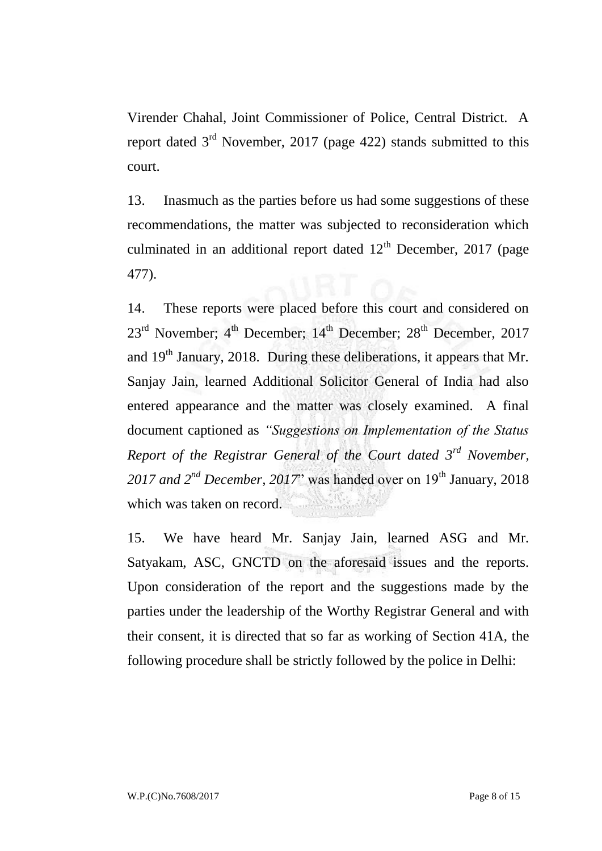Virender Chahal, Joint Commissioner of Police, Central District. A report dated 3rd November, 2017 (page 422) stands submitted to this court.

13. Inasmuch as the parties before us had some suggestions of these recommendations, the matter was subjected to reconsideration which culminated in an additional report dated  $12<sup>th</sup>$  December, 2017 (page 477).

14. These reports were placed before this court and considered on  $23^{\text{rd}}$  November;  $4^{\text{th}}$  December;  $14^{\text{th}}$  December;  $28^{\text{th}}$  December,  $2017$ and 19<sup>th</sup> January, 2018. During these deliberations, it appears that Mr. Sanjay Jain, learned Additional Solicitor General of India had also entered appearance and the matter was closely examined. A final document captioned as *"Suggestions on Implementation of the Status Report of the Registrar General of the Court dated 3rd November,*  2017 and 2<sup>nd</sup> December, 2017" was handed over on 19<sup>th</sup> January, 2018 which was taken on record.

15. We have heard Mr. Sanjay Jain, learned ASG and Mr. Satyakam, ASC, GNCTD on the aforesaid issues and the reports. Upon consideration of the report and the suggestions made by the parties under the leadership of the Worthy Registrar General and with their consent, it is directed that so far as working of Section 41A, the following procedure shall be strictly followed by the police in Delhi: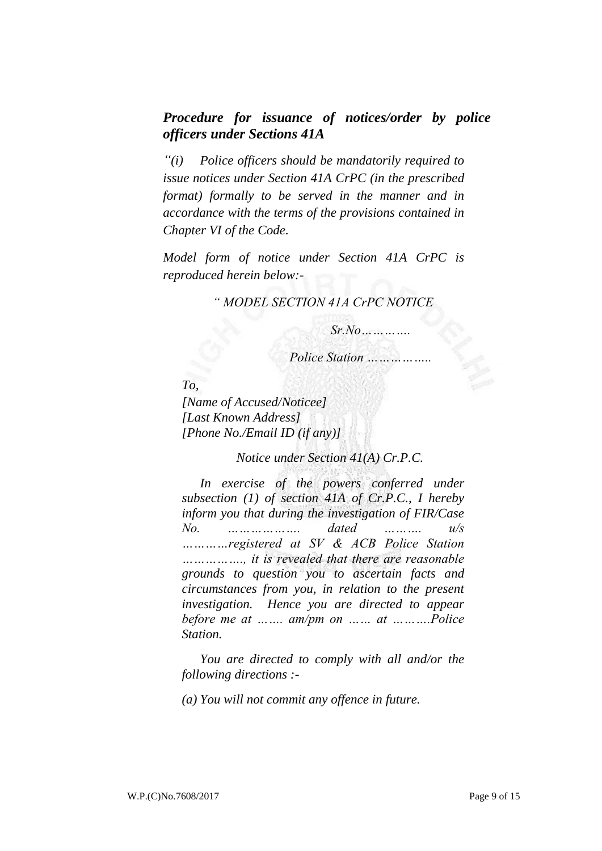## *Procedure for issuance of notices/order by police officers under Sections 41A*

*"(i) Police officers should be mandatorily required to issue notices under Section 41A CrPC (in the prescribed format) formally to be served in the manner and in accordance with the terms of the provisions contained in Chapter VI of the Code.*

*Model form of notice under Section 41A CrPC is reproduced herein below:-*

#### *" MODEL SECTION 41A CrPC NOTICE*

 *Sr.No………….*

 *Police Station ……………..*

*To, [Name of Accused/Noticee] [Last Known Address] [Phone No./Email ID (if any)]*

*Notice under Section 41(A) Cr.P.C.*

*In exercise of the powers conferred under subsection (1) of section 41A of Cr.P.C., I hereby inform you that during the investigation of FIR/Case No. ………………. dated ………. u/s …………registered at SV & ACB Police Station ……………., it is revealed that there are reasonable grounds to question you to ascertain facts and circumstances from you, in relation to the present investigation. Hence you are directed to appear before me at ……. am/pm on …… at ……….Police Station.*

*You are directed to comply with all and/or the following directions :-*

*(a) You will not commit any offence in future.*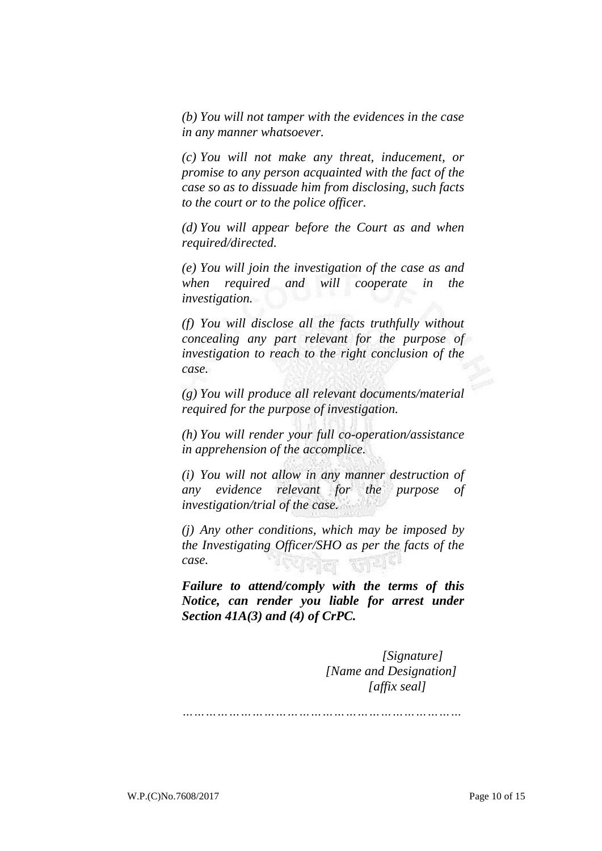*(b) You will not tamper with the evidences in the case in any manner whatsoever.*

*(c) You will not make any threat, inducement, or promise to any person acquainted with the fact of the case so as to dissuade him from disclosing, such facts to the court or to the police officer.*

*(d) You will appear before the Court as and when required/directed.*

*(e) You will join the investigation of the case as and when required and will cooperate in the investigation.*

*(f) You will disclose all the facts truthfully without concealing any part relevant for the purpose of investigation to reach to the right conclusion of the case.*

*(g) You will produce all relevant documents/material required for the purpose of investigation.*

*(h) You will render your full co-operation/assistance in apprehension of the accomplice.*

*(i) You will not allow in any manner destruction of any evidence relevant for the purpose of investigation/trial of the case.*

*(j) Any other conditions, which may be imposed by the Investigating Officer/SHO as per the facts of the case.*

*Failure to attend/comply with the terms of this Notice, can render you liable for arrest under Section 41A(3) and (4) of CrPC.*

> *[Signature] [Name and Designation] [affix seal]*

*………………………………………………………………*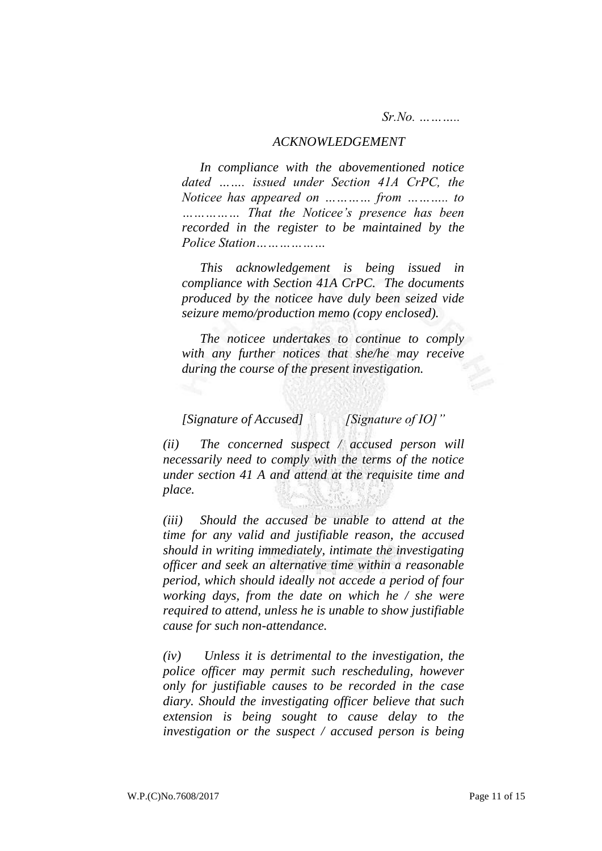*Sr.No. ………..*

#### *ACKNOWLEDGEMENT*

*In compliance with the abovementioned notice dated ……. issued under Section 41A CrPC, the Noticee has appeared on ………… from ……….. to …………… That the Noticee's presence has been recorded in the register to be maintained by the Police Station………………*

*This acknowledgement is being issued in compliance with Section 41A CrPC. The documents produced by the noticee have duly been seized vide seizure memo/production memo (copy enclosed).*

*The noticee undertakes to continue to comply with any further notices that she/he may receive during the course of the present investigation.*

*[Signature of Accused] [Signature of IO]"*

*(ii) The concerned suspect / accused person will necessarily need to comply with the terms of the notice under section 41 A and attend at the requisite time and place.*

*(iii) Should the accused be unable to attend at the time for any valid and justifiable reason, the accused should in writing immediately, intimate the investigating officer and seek an alternative time within a reasonable period, which should ideally not accede a period of four working days, from the date on which he / she were required to attend, unless he is unable to show justifiable cause for such non-attendance.*

*(iv) Unless it is detrimental to the investigation, the police officer may permit such rescheduling, however only for justifiable causes to be recorded in the case diary. Should the investigating officer believe that such extension is being sought to cause delay to the investigation or the suspect / accused person is being*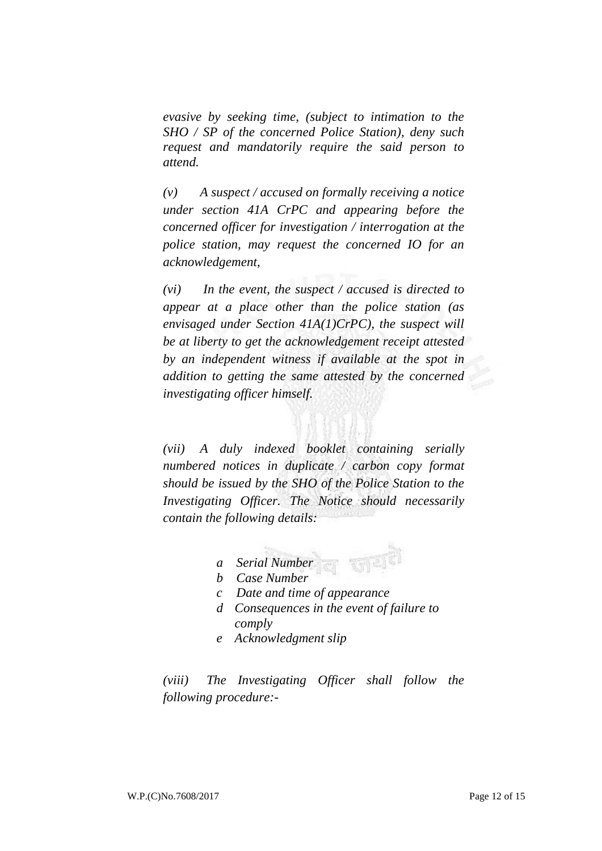*evasive by seeking time, (subject to intimation to the SHO / SP of the concerned Police Station), deny such request and mandatorily require the said person to attend.*

*(v) A suspect / accused on formally receiving a notice under section 41A CrPC and appearing before the concerned officer for investigation / interrogation at the police station, may request the concerned IO for an acknowledgement,*

*(vi) In the event, the suspect / accused is directed to appear at a place other than the police station (as envisaged under Section 41A(1)CrPC), the suspect will be at liberty to get the acknowledgement receipt attested by an independent witness if available at the spot in addition to getting the same attested by the concerned investigating officer himself.*

*(vii) A duly indexed booklet containing serially numbered notices in duplicate / carbon copy format should be issued by the SHO of the Police Station to the Investigating Officer. The Notice should necessarily contain the following details:*

- *a Serial Number*
- *b Case Number*
- *c Date and time of appearance*
- *d Consequences in the event of failure to comply*
- *e Acknowledgment slip*

*(viii) The Investigating Officer shall follow the following procedure:-*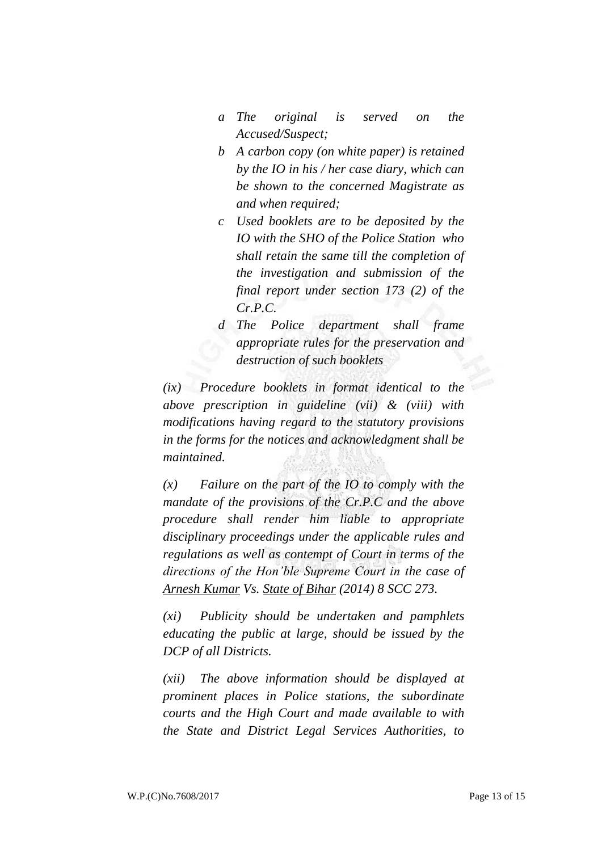- *a The original is served on the Accused/Suspect;*
- *b A carbon copy (on white paper) is retained by the IO in his / her case diary, which can be shown to the concerned Magistrate as and when required;*
- *c Used booklets are to be deposited by the IO with the SHO of the Police Station who shall retain the same till the completion of the investigation and submission of the final report under section 173 (2) of the Cr.P.C.*
- *d The Police department shall frame appropriate rules for the preservation and destruction of such booklets*

*(ix) Procedure booklets in format identical to the above prescription in guideline (vii) & (viii) with modifications having regard to the statutory provisions in the forms for the notices and acknowledgment shall be maintained.* 

*(x) Failure on the part of the IO to comply with the mandate of the provisions of the Cr.P.C and the above procedure shall render him liable to appropriate disciplinary proceedings under the applicable rules and regulations as well as contempt of Court in terms of the directions of the Hon'ble Supreme Court in the case of Arnesh Kumar Vs. State of Bihar (2014) 8 SCC 273.*

*(xi) Publicity should be undertaken and pamphlets educating the public at large, should be issued by the DCP of all Districts.*

*(xii) The above information should be displayed at prominent places in Police stations, the subordinate courts and the High Court and made available to with the State and District Legal Services Authorities, to*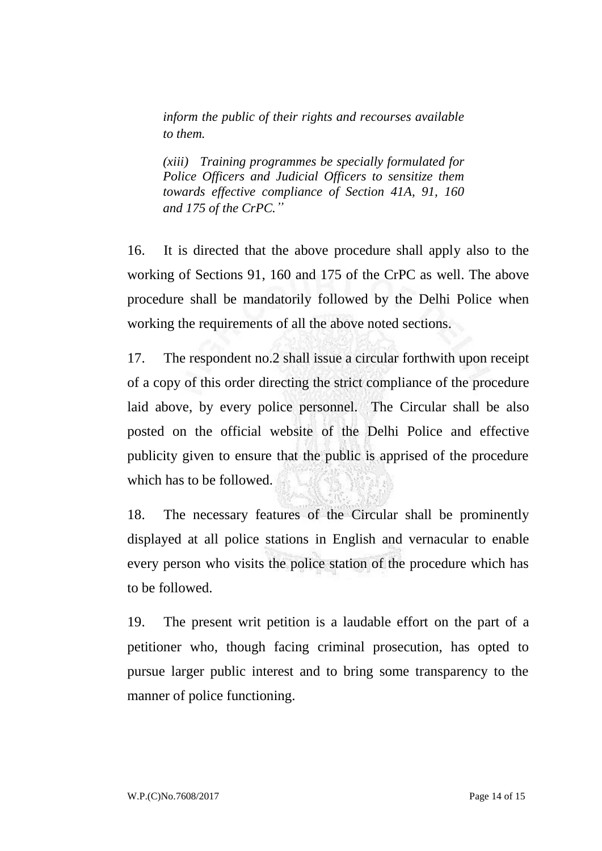*inform the public of their rights and recourses available to them.*

*(xiii) Training programmes be specially formulated for Police Officers and Judicial Officers to sensitize them towards effective compliance of Section 41A, 91, 160 and 175 of the CrPC."*

16. It is directed that the above procedure shall apply also to the working of Sections 91, 160 and 175 of the CrPC as well. The above procedure shall be mandatorily followed by the Delhi Police when working the requirements of all the above noted sections.

17. The respondent no.2 shall issue a circular forthwith upon receipt of a copy of this order directing the strict compliance of the procedure laid above, by every police personnel. The Circular shall be also posted on the official website of the Delhi Police and effective publicity given to ensure that the public is apprised of the procedure which has to be followed.

18. The necessary features of the Circular shall be prominently displayed at all police stations in English and vernacular to enable every person who visits the police station of the procedure which has to be followed.

19. The present writ petition is a laudable effort on the part of a petitioner who, though facing criminal prosecution, has opted to pursue larger public interest and to bring some transparency to the manner of police functioning.